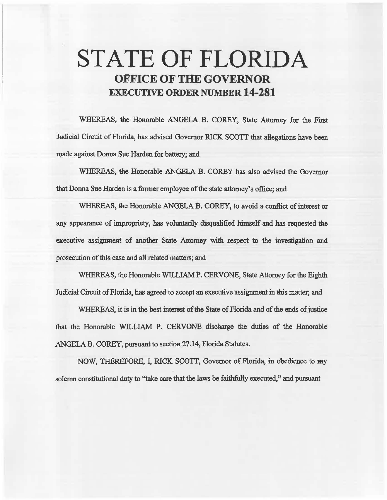# STATE OF FLORIDA OFFICE OF THE GOVERNOR EXECUTIVE ORDER NUMBER 14-281

WHEREAS, the Honorable ANGELA B. COREY, State Attorney for the First Judicial Circuit of Florida, has advised Govemor RICK SCOIT that allegations have been made against Donna Sue Harden for battery; and

WHEREAS, the Honorable ANGELA B. COREY has also advised the Governor that Donna Sue Harden is a fonner employee of the state attorney's office; and

WHEREAS, the Honorable ANGELA B. COREY, to avoid a conflict of interest or any appearance of impropriety, has voluntarily disqualified himself and has requested the executive assignment of another State Attorney with respect to the investigation and prosecution of this case and all related matters; and

WHEREAS, the Honorable WILLIAM P. CERVONE, State Attorney for the Eighth Judicial Circuit of Florida, has agreed to accept an executive assignment in this matter; and

WHEREAS, it is in the best mterest of the State of Florida and of the ends of justice that the Honorable WILLIAM P. CERVONE discharge the duties of the Honorable ANGELA B. COREY, pursuant to section 27.14, Florida Statutes.

NOW, THEREFORE, I, RICK SCOTT, Governor of Florida, in obedience to my solemn constitutional duty to ''take care that the laws be faitbfuliy executed," and pursuant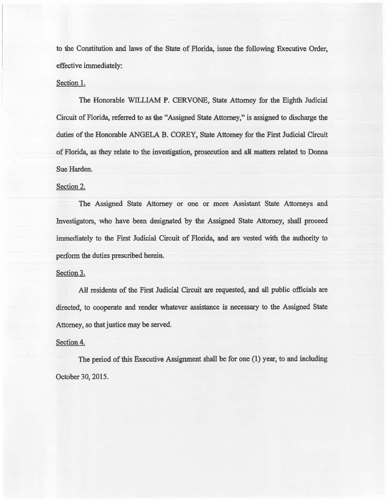to the Constirution and laws of the State of Florida, issue the following Executive Order, effective immediately:

#### Section 1.

The Honorable WILLIAM P. CERVONE, State Attorney for the Eighth Judicial Circuit of Florida, referred to as the "Assigned State Attorney," is assigned to discharge the duties of the Honorable ANGELA B. COREY, State Attorney for the First Judicial Circuit of Florida, as they relate to the investigation, prosecution and all matters related to Donna Sue Harden.

### Section 2.

The Assigned State Attorney or one or more Assistant State Attorneys and Investigators, who have been. designated by the Assigned State A1tomey, shall proceed immediately to the First Judicial Circuit of Florida, and are vested with the authority to perform the duties prescribed herein.

#### Section 3.

AH residents of the First Judicial Circuit are requested, and all public officials are directed, to cooperate and render whatever assistance is necessazy to the Assigned State Attorney, so that justice may be served.

## Section 4.

The period of this Executive Assignment shall be for one  $(1)$  year, to and including October 30, 2015.